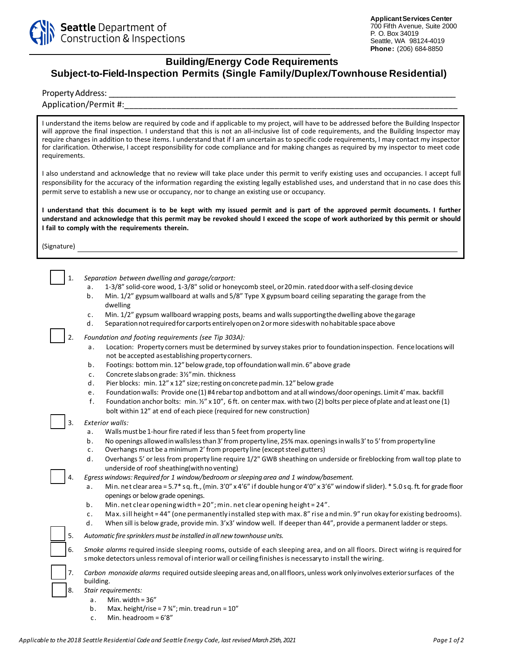

## **Building/Energy Code Requirements Subject-to-Field-Inspection Permits (Single Family/Duplex/Townhouse Residential)**

Property Address:

## Application/Permit #:

I understand the items below are required by code and if applicable to my project, will have to be addressed before the Building Inspector will approve the final inspection. I understand that this is not an all-inclusive list of code requirements, and the Building Inspector may require changes in addition to these items. I understand that if I am uncertain as to specific code requirements, I may contact my inspector for clarification. Otherwise, I accept responsibility for code compliance and for making changes as required by my inspector to meet code requirements.

I also understand and acknowledge that no review will take place under this permit to verify existing uses and occupancies. I accept full responsibility for the accuracy of the information regarding the existing legally established uses, and understand that in no case does this permit serve to establish a new use or occupancy, nor to change an existing use or occupancy.

**I understand that this document is to be kept with my issued permit and is part of the approved permit documents. I further understand and acknowledge that this permit may be revoked should I exceed the scope of work authorized by this permit or should I fail to comply with the requirements therein.** 

(Signature)

|  | Separation between dwelling and garage/carport:                                                           |  |
|--|-----------------------------------------------------------------------------------------------------------|--|
|  | 1-3/8" solid-core wood, 1-3/8" solid or honeycomb steel, or 20 min. rated door with a self-closing device |  |
|  | Min 1/2" gynsum wallboard at walls and 5/8" Type X gynsum board ceiling senarating the garage from        |  |

- b. Min. 1/2" gypsum wallboard at walls and 5/8" Type X gypsum board ceiling separating the garage from the dwelling
- c. Min. 1/2" gypsum wallboard wrapping posts, beams and walls supporting the dwelling above the garage
- d. Separation not required for carports entirely open on 2 or more sides with no habitable space above

2. *Foundation and footing requirements (see Tip 303A):*

- a. Location: Property corners must be determined by survey stakes prior to foundation inspection. Fence locations will not be accepted as establishing property corners.
- b. Footings: bottom min. 12" below grade, top of foundation wall min. 6" above grade
- c. Concrete slabs on grade: 3 ½" min. thickness
- d. Pier blocks: min. 12" x 12" size; resting on concrete pad min. 12" below grade
- e. Foundation walls: Provide one (1) #4 rebar top and bottom and at all windows/door openings. Limit 4' max. backfill
- f. Foundation anchor bolts: min. ½" x 10", 6 ft. on center max. with two (2) bolts per piece of plate and at least one (1) bolt within 12" at end of each piece (required for new construction)

## 3. *Exterior walls:*

- a. Walls must be 1-hour fire rated if less than 5 feet from property line
- b. No openings allowed in walls less than 3' from property line, 25% max. openings in walls 3' to 5' from property line
- c. Overhangs must be a minimum 2' from property line (except steel gutters)
- d. Overhangs 5' or less from property line require 1/2" GWB sheathing on underside or fireblocking from wall top plate to underside of roof sheathing (with no venting)
- 4. *Egress windows: Required for 1 window/bedroom orsleeping area and 1 window/basement.*
- a. Min. net clear area = 5.7\* sq. ft., (min. 3'0" x 4'6" if double hungor 4'0" x 3'6" windowif slider). \* 5.0 sq. ft. for grade floor openings or below grade openings.
- b. Min. net clear opening width = 20"; min. net clear opening height = 24".
- c. Max.sill height = 44" (one permanently installed stepwith max. 8" rise andmin. 9" run okay for existing bedrooms).
- d. When sill is below grade, provide min. 3'x3' window well. If deeper than 44", provide a permanent ladder or steps.

5. *Automatic fire sprinklers must be installed in all new townhouse units.*

- 6. *Smoke alarms* required inside sleeping rooms, outside of each sleeping area, and on all floors. Direct wiring is required for smoke detectors unless removal of interior wall or ceiling finishes is necessary to install the wiring.
- 7. *Carbon monoxide alarms* required outside sleeping areas and,on allfloors, unless work only involves exterior surfaces of the building.

8. *Stair requirements:*

- a. Min. width  $= 36"$
- b. Max. height/rise =  $7\frac{3}{4}$ "; min. tread run =  $10$ "
- c. Min. headroom = 6'8"